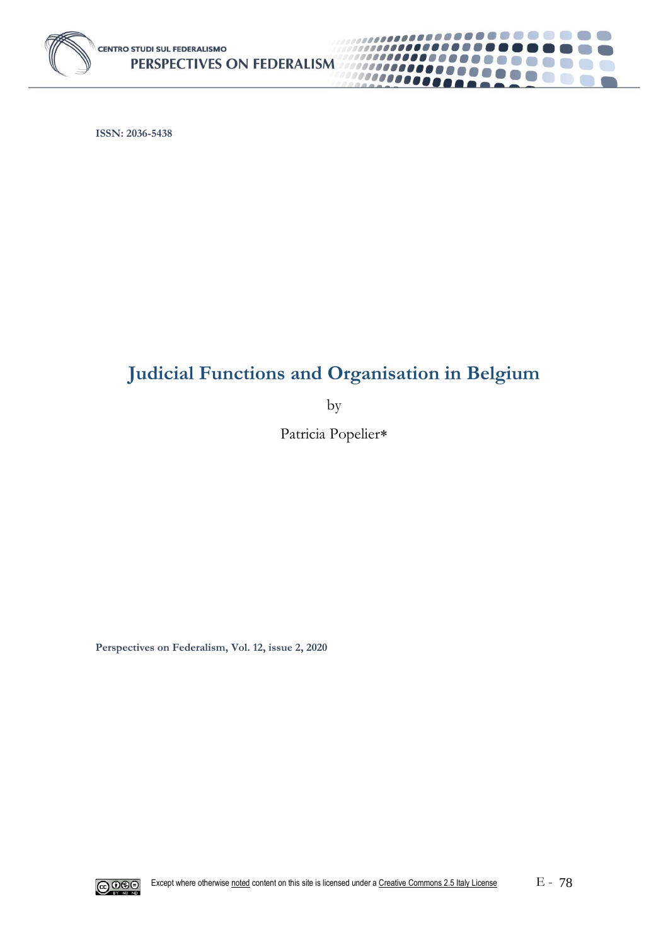

**ISSN: 2036-5438**

# **Judicial Functions and Organisation in Belgium**

..........

................

,,,,,,,,,,,,,,,,,,,,

.....

100000000

**Contract** 

**CON** 

 $\mathcal{E} = \mathcal{E}$ 

by

Patricia Popelier\*

**Perspectives on Federalism, Vol. 12, issue 2, 2020**

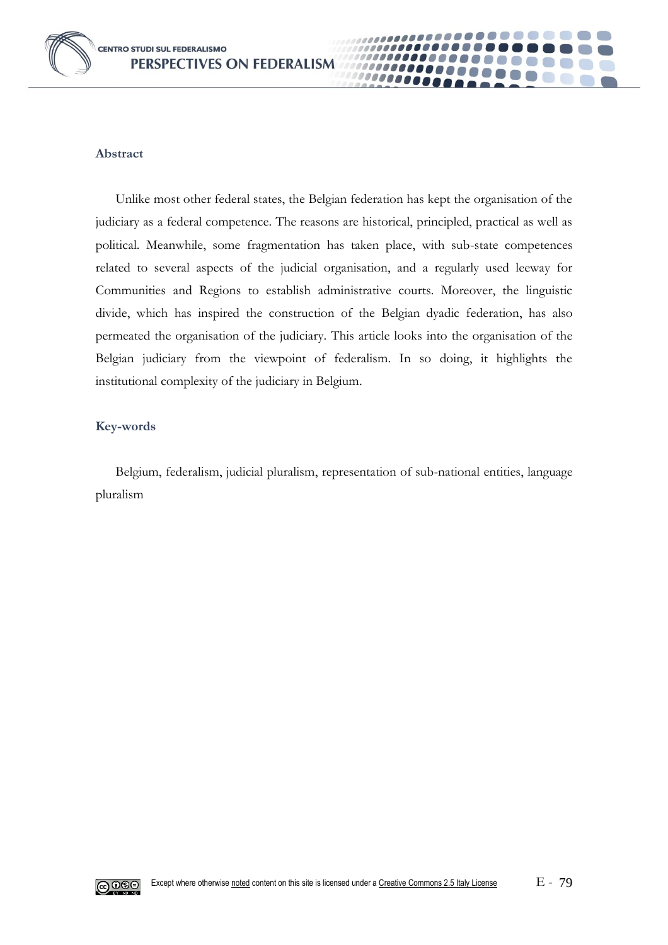

#### **Abstract**

Unlike most other federal states, the Belgian federation has kept the organisation of the judiciary as a federal competence. The reasons are historical, principled, practical as well as political. Meanwhile, some fragmentation has taken place, with sub-state competences related to several aspects of the judicial organisation, and a regularly used leeway for Communities and Regions to establish administrative courts. Moreover, the linguistic divide, which has inspired the construction of the Belgian dyadic federation, has also permeated the organisation of the judiciary. This article looks into the organisation of the Belgian judiciary from the viewpoint of federalism. In so doing, it highlights the institutional complexity of the judiciary in Belgium.

1000

#### **Key-words**

Belgium, federalism, judicial pluralism, representation of sub-national entities, language pluralism

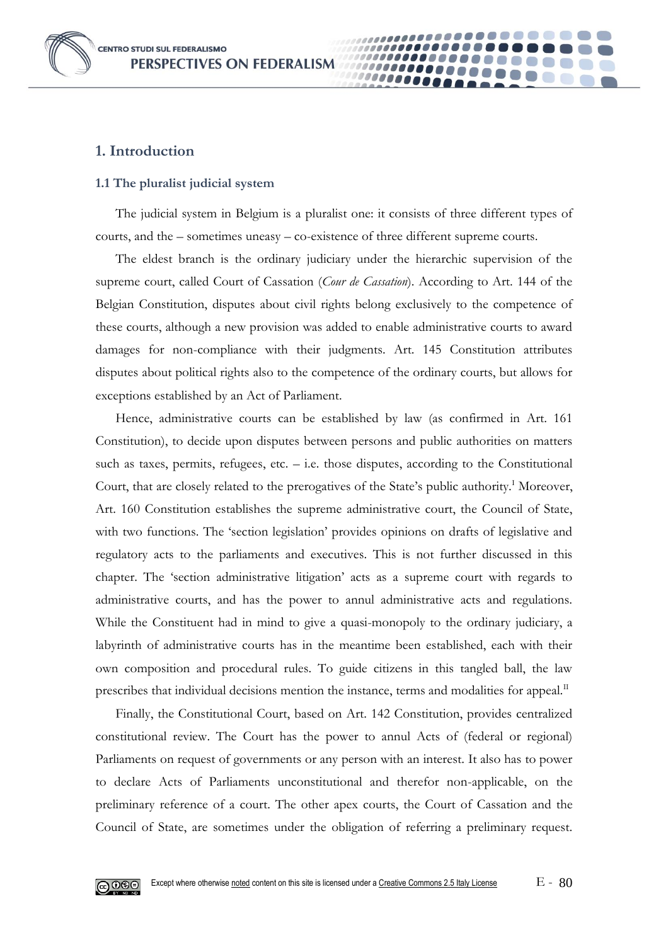**CENTRO STUDI SUL FEDERALISMO** PERSPECTIVES ON FEDERALISM



## **1. Introduction**

#### **1.1 The pluralist judicial system**

The judicial system in Belgium is a pluralist one: it consists of three different types of courts, and the – sometimes uneasy – co-existence of three different supreme courts.

00000

The eldest branch is the ordinary judiciary under the hierarchic supervision of the supreme court, called Court of Cassation (*Cour de Cassation*). According to Art. 144 of the Belgian Constitution, disputes about civil rights belong exclusively to the competence of these courts, although a new provision was added to enable administrative courts to award damages for non-compliance with their judgments. Art. 145 Constitution attributes disputes about political rights also to the competence of the ordinary courts, but allows for exceptions established by an Act of Parliament.

Hence, administrative courts can be established by law (as confirmed in Art. 161 Constitution), to decide upon disputes between persons and public authorities on matters such as taxes, permits, refugees, etc.  $-$  i.e. those disputes, according to the Constitutional Court, that are closely related to the prerogatives of the State's public authority.<sup>1</sup> Moreover, Art. 160 Constitution establishes the supreme administrative court, the Council of State, with two functions. The 'section legislation' provides opinions on drafts of legislative and regulatory acts to the parliaments and executives. This is not further discussed in this chapter. The 'section administrative litigation' acts as a supreme court with regards to administrative courts, and has the power to annul administrative acts and regulations. While the Constituent had in mind to give a quasi-monopoly to the ordinary judiciary, a labyrinth of administrative courts has in the meantime been established, each with their own composition and procedural rules. To guide citizens in this tangled ball, the law prescribes that individual decisions mention the instance, terms and modalities for appeal.<sup>II</sup>

Finally, the Constitutional Court, based on Art. 142 Constitution, provides centralized constitutional review. The Court has the power to annul Acts of (federal or regional) Parliaments on request of governments or any person with an interest. It also has to power to declare Acts of Parliaments unconstitutional and therefor non-applicable, on the preliminary reference of a court. The other apex courts, the Court of Cassation and the Council of State, are sometimes under the obligation of referring a preliminary request.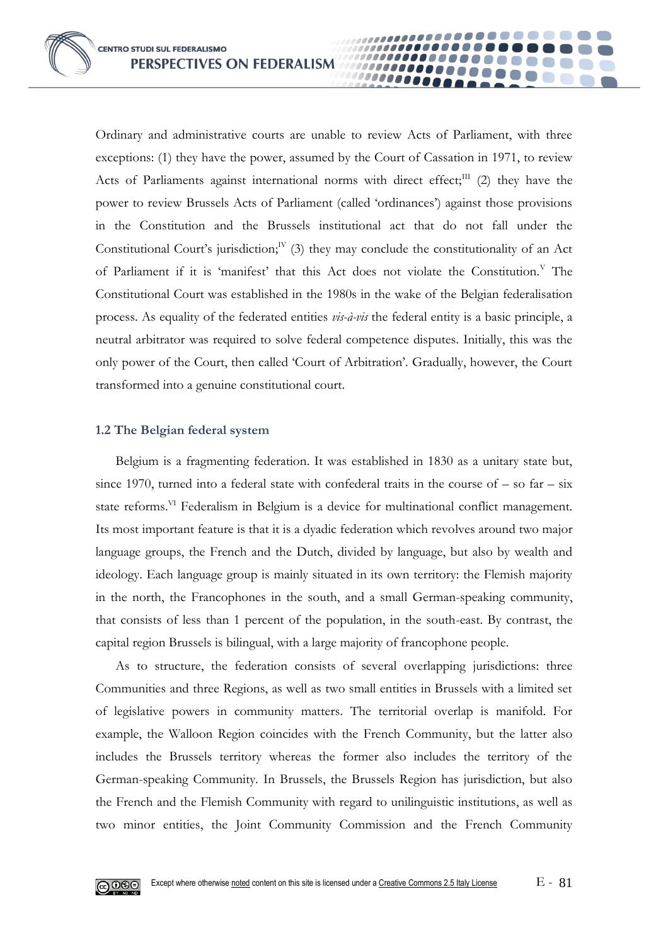Ordinary and administrative courts are unable to review Acts of Parliament, with three exceptions: (1) they have the power, assumed by the Court of Cassation in 1971, to review Acts of Parliaments against international norms with direct effect;<sup>III</sup> (2) they have the power to review Brussels Acts of Parliament (called 'ordinances') against those provisions in the Constitution and the Brussels institutional act that do not fall under the Constitutional Court's jurisdiction;<sup>IV</sup> (3) they may conclude the constitutionality of an Act of Parliament if it is 'manifest' that this Act does not violate the Constitution.  $V$  The Constitutional Court was established in the 1980s in the wake of the Belgian federalisation process. As equality of the federated entities *vis-à-vis* the federal entity is a basic principle, a neutral arbitrator was required to solve federal competence disputes. Initially, this was the only power of the Court, then called 'Court of Arbitration'. Gradually, however, the Court transformed into a genuine constitutional court.

**10000** 

#### **1.2 The Belgian federal system**

Belgium is a fragmenting federation. It was established in 1830 as a unitary state but, since 1970, turned into a federal state with confederal traits in the course of  $-$  so far  $-$  six state reforms.<sup>VI</sup> Federalism in Belgium is a device for multinational conflict management. Its most important feature is that it is a dyadic federation which revolves around two major language groups, the French and the Dutch, divided by language, but also by wealth and ideology. Each language group is mainly situated in its own territory: the Flemish majority in the north, the Francophones in the south, and a small German-speaking community, that consists of less than 1 percent of the population, in the south-east. By contrast, the capital region Brussels is bilingual, with a large majority of francophone people.

As to structure, the federation consists of several overlapping jurisdictions: three Communities and three Regions, as well as two small entities in Brussels with a limited set of legislative powers in community matters. The territorial overlap is manifold. For example, the Walloon Region coincides with the French Community, but the latter also includes the Brussels territory whereas the former also includes the territory of the German-speaking Community. In Brussels, the Brussels Region has jurisdiction, but also the French and the Flemish Community with regard to unilinguistic institutions, as well as two minor entities, the Joint Community Commission and the French Community

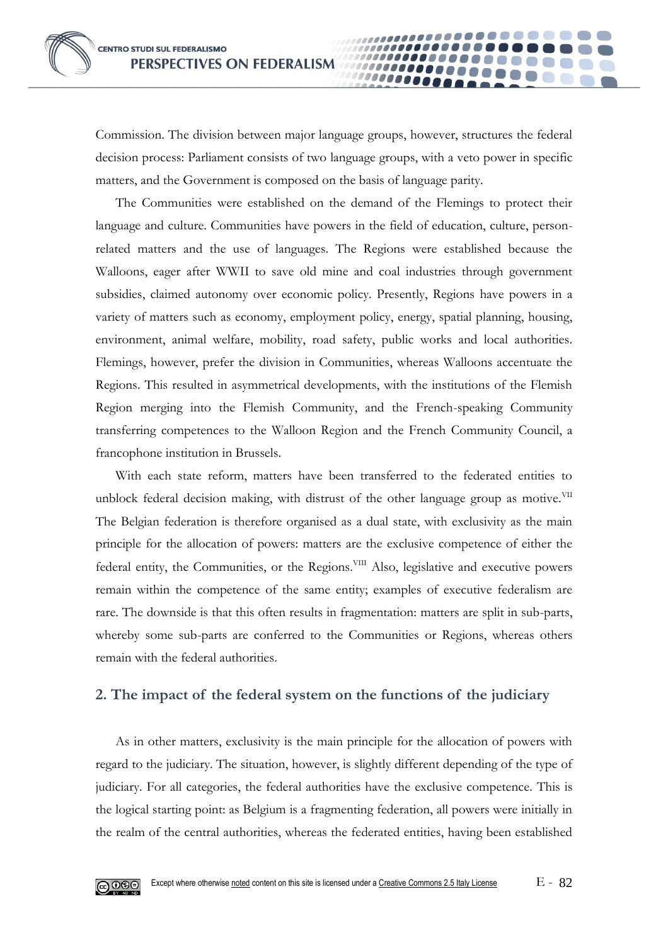

10000

The Communities were established on the demand of the Flemings to protect their language and culture. Communities have powers in the field of education, culture, personrelated matters and the use of languages. The Regions were established because the Walloons, eager after WWII to save old mine and coal industries through government subsidies, claimed autonomy over economic policy. Presently, Regions have powers in a variety of matters such as economy, employment policy, energy, spatial planning, housing, environment, animal welfare, mobility, road safety, public works and local authorities. Flemings, however, prefer the division in Communities, whereas Walloons accentuate the Regions. This resulted in asymmetrical developments, with the institutions of the Flemish Region merging into the Flemish Community, and the French-speaking Community transferring competences to the Walloon Region and the French Community Council, a francophone institution in Brussels.

With each state reform, matters have been transferred to the federated entities to unblock federal decision making, with distrust of the other language group as motive.<sup>VII</sup> The Belgian federation is therefore organised as a dual state, with exclusivity as the main principle for the allocation of powers: matters are the exclusive competence of either the federal entity, the Communities, or the Regions.<sup>VIII</sup> Also, legislative and executive powers remain within the competence of the same entity; examples of executive federalism are rare. The downside is that this often results in fragmentation: matters are split in sub-parts, whereby some sub-parts are conferred to the Communities or Regions, whereas others remain with the federal authorities.

# **2. The impact of the federal system on the functions of the judiciary**

As in other matters, exclusivity is the main principle for the allocation of powers with regard to the judiciary. The situation, however, is slightly different depending of the type of judiciary. For all categories, the federal authorities have the exclusive competence. This is the logical starting point: as Belgium is a fragmenting federation, all powers were initially in the realm of the central authorities, whereas the federated entities, having been established

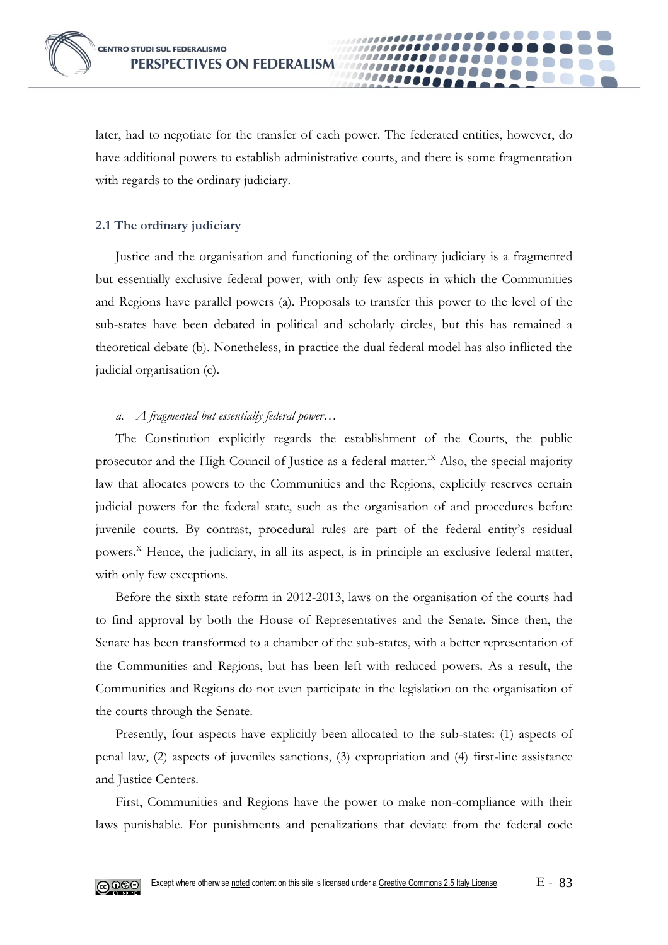

later, had to negotiate for the transfer of each power. The federated entities, however, do have additional powers to establish administrative courts, and there is some fragmentation with regards to the ordinary judiciary.

0000

## **2.1 The ordinary judiciary**

Justice and the organisation and functioning of the ordinary judiciary is a fragmented but essentially exclusive federal power, with only few aspects in which the Communities and Regions have parallel powers (a). Proposals to transfer this power to the level of the sub-states have been debated in political and scholarly circles, but this has remained a theoretical debate (b). Nonetheless, in practice the dual federal model has also inflicted the judicial organisation (c).

## *a. A fragmented but essentially federal power…*

The Constitution explicitly regards the establishment of the Courts, the public prosecutor and the High Council of Justice as a federal matter.<sup>IX</sup> Also, the special majority law that allocates powers to the Communities and the Regions, explicitly reserves certain judicial powers for the federal state, such as the organisation of and procedures before juvenile courts. By contrast, procedural rules are part of the federal entity's residual powers.<sup>X</sup> Hence, the judiciary, in all its aspect, is in principle an exclusive federal matter, with only few exceptions.

Before the sixth state reform in 2012-2013, laws on the organisation of the courts had to find approval by both the House of Representatives and the Senate. Since then, the Senate has been transformed to a chamber of the sub-states, with a better representation of the Communities and Regions, but has been left with reduced powers. As a result, the Communities and Regions do not even participate in the legislation on the organisation of the courts through the Senate.

Presently, four aspects have explicitly been allocated to the sub-states: (1) aspects of penal law, (2) aspects of juveniles sanctions, (3) expropriation and (4) first-line assistance and Justice Centers.

First, Communities and Regions have the power to make non-compliance with their laws punishable. For punishments and penalizations that deviate from the federal code

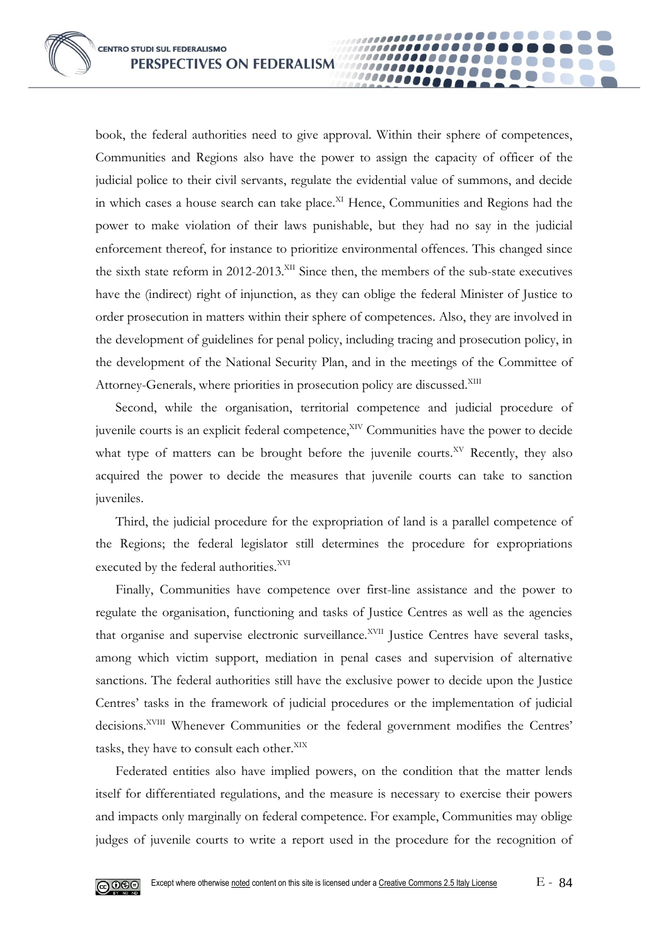book, the federal authorities need to give approval. Within their sphere of competences, Communities and Regions also have the power to assign the capacity of officer of the judicial police to their civil servants, regulate the evidential value of summons, and decide in which cases a house search can take place.<sup>XI</sup> Hence, Communities and Regions had the power to make violation of their laws punishable, but they had no say in the judicial enforcement thereof, for instance to prioritize environmental offences. This changed since the sixth state reform in 2012-2013.<sup>XII</sup> Since then, the members of the sub-state executives have the (indirect) right of injunction, as they can oblige the federal Minister of Justice to order prosecution in matters within their sphere of competences. Also, they are involved in the development of guidelines for penal policy, including tracing and prosecution policy, in the development of the National Security Plan, and in the meetings of the Committee of Attorney-Generals, where priorities in prosecution policy are discussed.<sup>XIII</sup>

00000

Second, while the organisation, territorial competence and judicial procedure of juvenile courts is an explicit federal competence,<sup>XIV</sup> Communities have the power to decide what type of matters can be brought before the juvenile courts.<sup>XV</sup> Recently, they also acquired the power to decide the measures that juvenile courts can take to sanction juveniles.

Third, the judicial procedure for the expropriation of land is a parallel competence of the Regions; the federal legislator still determines the procedure for expropriations executed by the federal authorities.<sup>XVI</sup>

Finally, Communities have competence over first-line assistance and the power to regulate the organisation, functioning and tasks of Justice Centres as well as the agencies that organise and supervise electronic surveillance.<sup>XVII</sup> Justice Centres have several tasks, among which victim support, mediation in penal cases and supervision of alternative sanctions. The federal authorities still have the exclusive power to decide upon the Justice Centres' tasks in the framework of judicial procedures or the implementation of judicial decisions.<sup>XVIII</sup> Whenever Communities or the federal government modifies the Centres' tasks, they have to consult each other.<sup>XIX</sup>

Federated entities also have implied powers, on the condition that the matter lends itself for differentiated regulations, and the measure is necessary to exercise their powers and impacts only marginally on federal competence. For example, Communities may oblige judges of juvenile courts to write a report used in the procedure for the recognition of

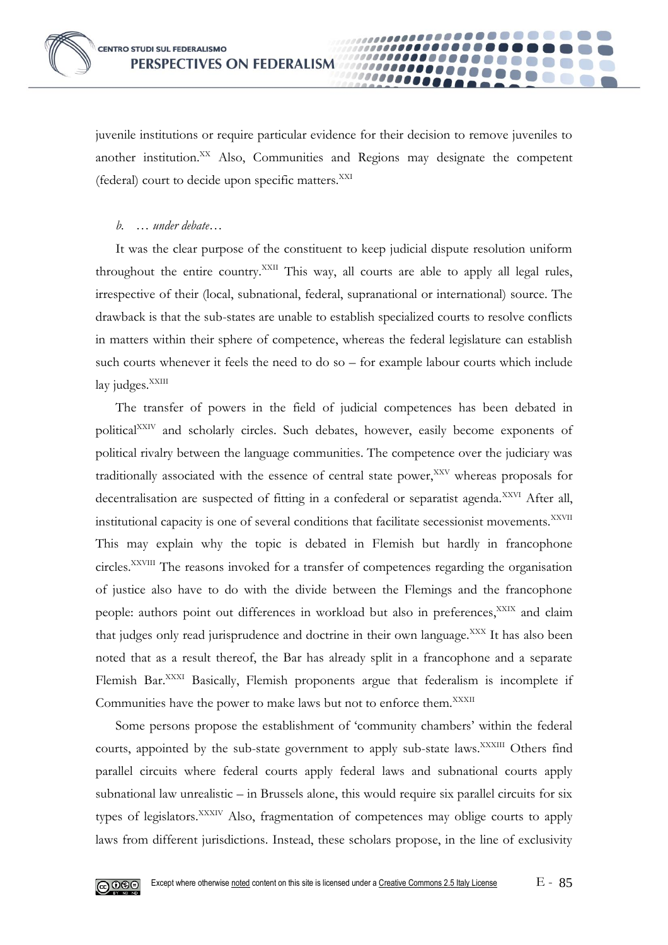

juvenile institutions or require particular evidence for their decision to remove juveniles to another institution.<sup>XX</sup> Also, Communities and Regions may designate the competent (federal) court to decide upon specific matters.<sup>XXI</sup>

*b. … under debate…* 

It was the clear purpose of the constituent to keep judicial dispute resolution uniform throughout the entire country.<sup>XXII</sup> This way, all courts are able to apply all legal rules, irrespective of their (local, subnational, federal, supranational or international) source. The drawback is that the sub-states are unable to establish specialized courts to resolve conflicts in matters within their sphere of competence, whereas the federal legislature can establish such courts whenever it feels the need to do so – for example labour courts which include  $lay$  judges. $^{XXIII}$ 

The transfer of powers in the field of judicial competences has been debated in political<sup>XXIV</sup> and scholarly circles. Such debates, however, easily become exponents of political rivalry between the language communities. The competence over the judiciary was traditionally associated with the essence of central state power,<sup>XXV</sup> whereas proposals for decentralisation are suspected of fitting in a confederal or separatist agenda.<sup>XXVI</sup> After all, institutional capacity is one of several conditions that facilitate secessionist movements.<sup>XXVII</sup> This may explain why the topic is debated in Flemish but hardly in francophone circles.XXVIII The reasons invoked for a transfer of competences regarding the organisation of justice also have to do with the divide between the Flemings and the francophone people: authors point out differences in workload but also in preferences,<sup>XXIX</sup> and claim that judges only read jurisprudence and doctrine in their own language.<sup>XXX</sup> It has also been noted that as a result thereof, the Bar has already split in a francophone and a separate Flemish Bar.<sup>XXXI</sup> Basically, Flemish proponents argue that federalism is incomplete if Communities have the power to make laws but not to enforce them.<sup>XXXII</sup>

Some persons propose the establishment of 'community chambers' within the federal courts, appointed by the sub-state government to apply sub-state laws.<sup>XXXIII</sup> Others find parallel circuits where federal courts apply federal laws and subnational courts apply subnational law unrealistic – in Brussels alone, this would require six parallel circuits for six types of legislators.<sup>XXXIV</sup> Also, fragmentation of competences may oblige courts to apply laws from different jurisdictions. Instead, these scholars propose, in the line of exclusivity

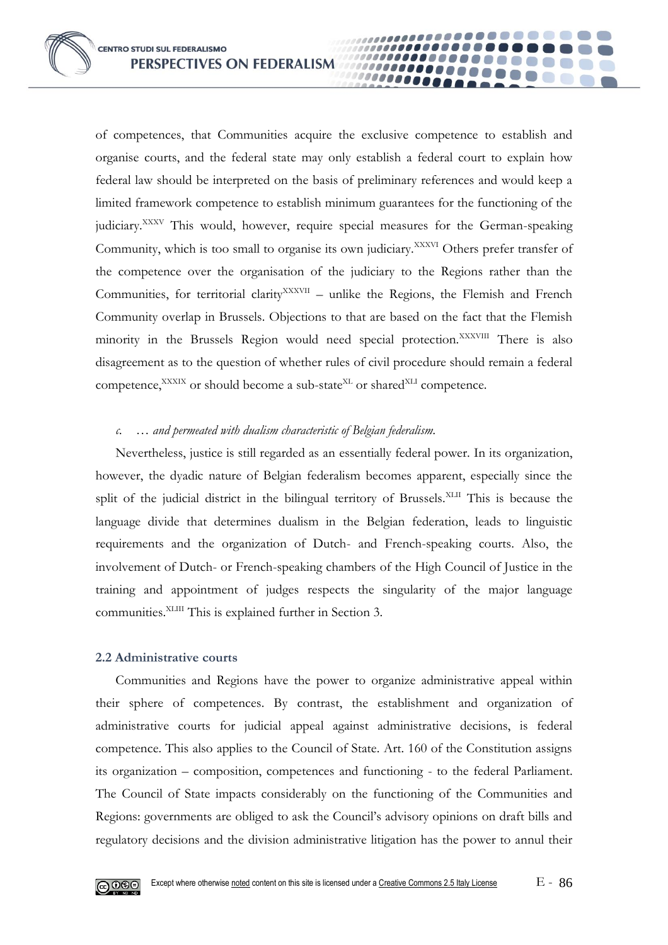**CENTRO STUDI SUL FEDERALISMO** PERSPECTIVES ON FEDERALISM

of competences, that Communities acquire the exclusive competence to establish and organise courts, and the federal state may only establish a federal court to explain how federal law should be interpreted on the basis of preliminary references and would keep a limited framework competence to establish minimum guarantees for the functioning of the judiciary.<sup>XXXV</sup> This would, however, require special measures for the German-speaking Community, which is too small to organise its own judiciary.<sup>XXXVI</sup> Others prefer transfer of the competence over the organisation of the judiciary to the Regions rather than the Communities, for territorial clarity<sup>XXXVII</sup> - unlike the Regions, the Flemish and French Community overlap in Brussels. Objections to that are based on the fact that the Flemish minority in the Brussels Region would need special protection.<sup>XXXVIII</sup> There is also disagreement as to the question of whether rules of civil procedure should remain a federal competence, $XXXIX$  or should become a sub-state $X<sup>KL</sup>$  or shared $XLI$  competence.

**10000** 

#### *c. … and permeated with dualism characteristic of Belgian federalism.*

Nevertheless, justice is still regarded as an essentially federal power. In its organization, however, the dyadic nature of Belgian federalism becomes apparent, especially since the split of the judicial district in the bilingual territory of Brussels.<sup>XLII</sup> This is because the language divide that determines dualism in the Belgian federation, leads to linguistic requirements and the organization of Dutch- and French-speaking courts. Also, the involvement of Dutch- or French-speaking chambers of the High Council of Justice in the training and appointment of judges respects the singularity of the major language communities.XLIII This is explained further in Section 3.

#### **2.2 Administrative courts**

Communities and Regions have the power to organize administrative appeal within their sphere of competences. By contrast, the establishment and organization of administrative courts for judicial appeal against administrative decisions, is federal competence. This also applies to the Council of State. Art. 160 of the Constitution assigns its organization – composition, competences and functioning - to the federal Parliament. The Council of State impacts considerably on the functioning of the Communities and Regions: governments are obliged to ask the Council's advisory opinions on draft bills and regulatory decisions and the division administrative litigation has the power to annul their

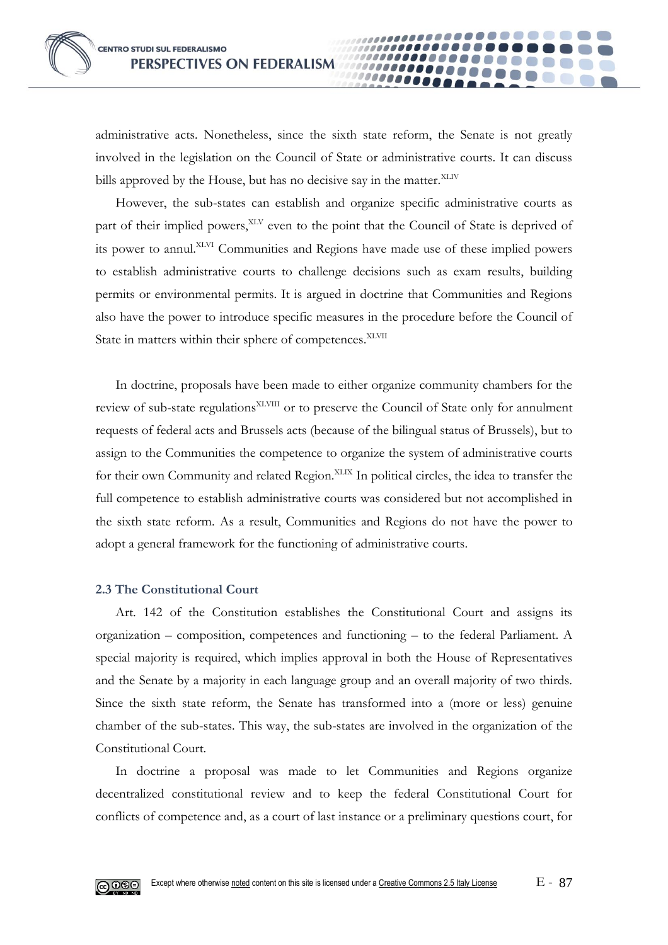administrative acts. Nonetheless, since the sixth state reform, the Senate is not greatly involved in the legislation on the Council of State or administrative courts. It can discuss bills approved by the House, but has no decisive say in the matter. XLIV

*.....* 

However, the sub-states can establish and organize specific administrative courts as part of their implied powers,<sup>XLV</sup> even to the point that the Council of State is deprived of its power to annul.XLVI Communities and Regions have made use of these implied powers to establish administrative courts to challenge decisions such as exam results, building permits or environmental permits. It is argued in doctrine that Communities and Regions also have the power to introduce specific measures in the procedure before the Council of State in matters within their sphere of competences.<sup>XLVII</sup>

In doctrine, proposals have been made to either organize community chambers for the review of sub-state regulations<sup>XLVIII</sup> or to preserve the Council of State only for annulment requests of federal acts and Brussels acts (because of the bilingual status of Brussels), but to assign to the Communities the competence to organize the system of administrative courts for their own Community and related Region.<sup>XLIX</sup> In political circles, the idea to transfer the full competence to establish administrative courts was considered but not accomplished in the sixth state reform. As a result, Communities and Regions do not have the power to adopt a general framework for the functioning of administrative courts.

#### **2.3 The Constitutional Court**

Art. 142 of the Constitution establishes the Constitutional Court and assigns its organization – composition, competences and functioning – to the federal Parliament. A special majority is required, which implies approval in both the House of Representatives and the Senate by a majority in each language group and an overall majority of two thirds. Since the sixth state reform, the Senate has transformed into a (more or less) genuine chamber of the sub-states. This way, the sub-states are involved in the organization of the Constitutional Court.

In doctrine a proposal was made to let Communities and Regions organize decentralized constitutional review and to keep the federal Constitutional Court for conflicts of competence and, as a court of last instance or a preliminary questions court, for

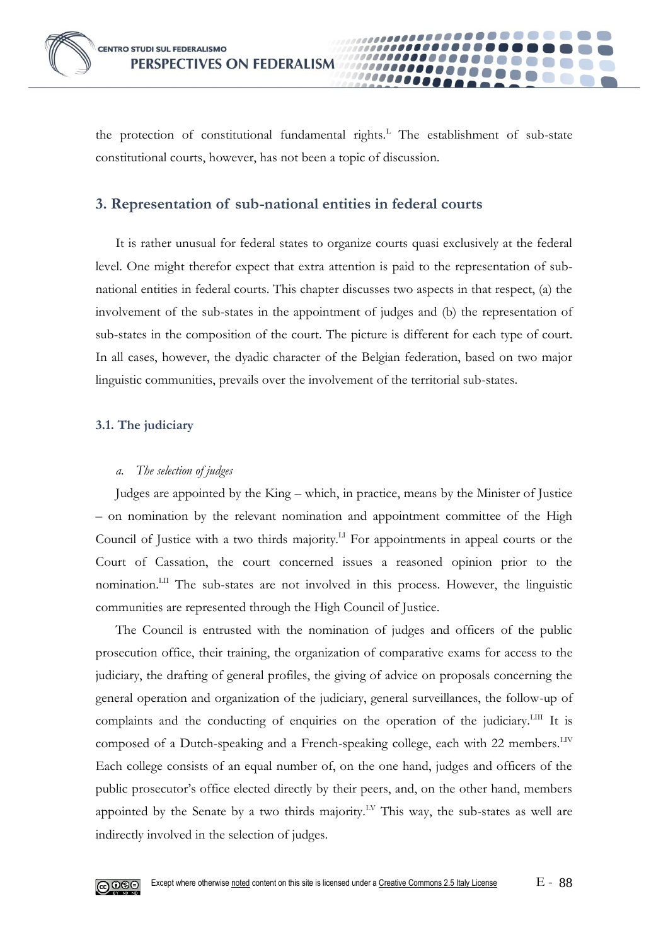

the protection of constitutional fundamental rights.<sup>L</sup> The establishment of sub-state constitutional courts, however, has not been a topic of discussion.

**0000** 

# **3. Representation of sub-national entities in federal courts**

It is rather unusual for federal states to organize courts quasi exclusively at the federal level. One might therefor expect that extra attention is paid to the representation of subnational entities in federal courts. This chapter discusses two aspects in that respect, (a) the involvement of the sub-states in the appointment of judges and (b) the representation of sub-states in the composition of the court. The picture is different for each type of court. In all cases, however, the dyadic character of the Belgian federation, based on two major linguistic communities, prevails over the involvement of the territorial sub-states.

## **3.1. The judiciary**

## *a. The selection of judges*

Judges are appointed by the King – which, in practice, means by the Minister of Justice – on nomination by the relevant nomination and appointment committee of the High Council of Justice with a two thirds majority.LI For appointments in appeal courts or the Court of Cassation, the court concerned issues a reasoned opinion prior to the nomination.LII The sub-states are not involved in this process. However, the linguistic communities are represented through the High Council of Justice.

The Council is entrusted with the nomination of judges and officers of the public prosecution office, their training, the organization of comparative exams for access to the judiciary, the drafting of general profiles, the giving of advice on proposals concerning the general operation and organization of the judiciary, general surveillances, the follow-up of complaints and the conducting of enquiries on the operation of the judiciary.<sup>LIII</sup> It is composed of a Dutch-speaking and a French-speaking college, each with 22 members.<sup>LIV</sup> Each college consists of an equal number of, on the one hand, judges and officers of the public prosecutor's office elected directly by their peers, and, on the other hand, members appointed by the Senate by a two thirds majority.<sup>LV</sup> This way, the sub-states as well are indirectly involved in the selection of judges.

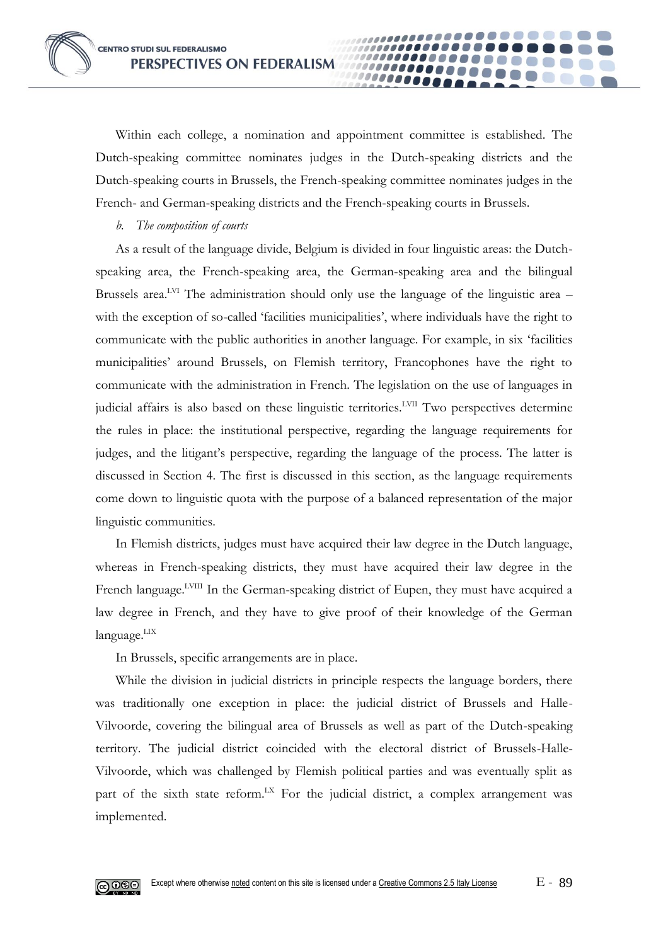Within each college, a nomination and appointment committee is established. The Dutch-speaking committee nominates judges in the Dutch-speaking districts and the Dutch-speaking courts in Brussels, the French-speaking committee nominates judges in the French- and German-speaking districts and the French-speaking courts in Brussels.

0000

*b. The composition of courts*

As a result of the language divide, Belgium is divided in four linguistic areas: the Dutchspeaking area, the French-speaking area, the German-speaking area and the bilingual Brussels area.<sup>LVI</sup> The administration should only use the language of the linguistic area  $$ with the exception of so-called 'facilities municipalities', where individuals have the right to communicate with the public authorities in another language. For example, in six 'facilities municipalities' around Brussels, on Flemish territory, Francophones have the right to communicate with the administration in French. The legislation on the use of languages in judicial affairs is also based on these linguistic territories.<sup>LVII</sup> Two perspectives determine the rules in place: the institutional perspective, regarding the language requirements for judges, and the litigant's perspective, regarding the language of the process. The latter is discussed in Section 4. The first is discussed in this section, as the language requirements come down to linguistic quota with the purpose of a balanced representation of the major linguistic communities.

In Flemish districts, judges must have acquired their law degree in the Dutch language, whereas in French-speaking districts, they must have acquired their law degree in the French language.<sup>LVIII</sup> In the German-speaking district of Eupen, they must have acquired a law degree in French, and they have to give proof of their knowledge of the German language.<sup>LIX</sup>

In Brussels, specific arrangements are in place.

While the division in judicial districts in principle respects the language borders, there was traditionally one exception in place: the judicial district of Brussels and Halle-Vilvoorde, covering the bilingual area of Brussels as well as part of the Dutch-speaking territory. The judicial district coincided with the electoral district of Brussels-Halle-Vilvoorde, which was challenged by Flemish political parties and was eventually split as part of the sixth state reform.<sup>LX</sup> For the judicial district, a complex arrangement was implemented.

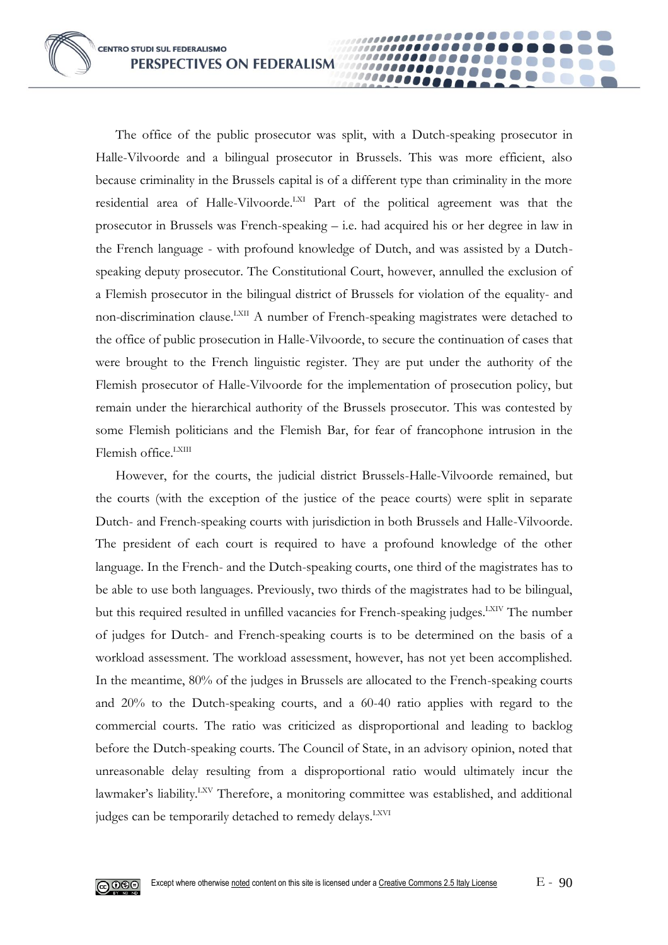The office of the public prosecutor was split, with a Dutch-speaking prosecutor in Halle-Vilvoorde and a bilingual prosecutor in Brussels. This was more efficient, also because criminality in the Brussels capital is of a different type than criminality in the more residential area of Halle-Vilvoorde.<sup>LXI</sup> Part of the political agreement was that the prosecutor in Brussels was French-speaking – i.e. had acquired his or her degree in law in the French language - with profound knowledge of Dutch, and was assisted by a Dutchspeaking deputy prosecutor. The Constitutional Court, however, annulled the exclusion of a Flemish prosecutor in the bilingual district of Brussels for violation of the equality- and non-discrimination clause.<sup>LXII</sup> A number of French-speaking magistrates were detached to the office of public prosecution in Halle-Vilvoorde, to secure the continuation of cases that were brought to the French linguistic register. They are put under the authority of the Flemish prosecutor of Halle-Vilvoorde for the implementation of prosecution policy, but remain under the hierarchical authority of the Brussels prosecutor. This was contested by some Flemish politicians and the Flemish Bar, for fear of francophone intrusion in the Flemish office.<sup>LXIII</sup>

00000

However, for the courts, the judicial district Brussels-Halle-Vilvoorde remained, but the courts (with the exception of the justice of the peace courts) were split in separate Dutch- and French-speaking courts with jurisdiction in both Brussels and Halle-Vilvoorde. The president of each court is required to have a profound knowledge of the other language. In the French- and the Dutch-speaking courts, one third of the magistrates has to be able to use both languages. Previously, two thirds of the magistrates had to be bilingual, but this required resulted in unfilled vacancies for French-speaking judges.<sup>LXIV</sup> The number of judges for Dutch- and French-speaking courts is to be determined on the basis of a workload assessment. The workload assessment, however, has not yet been accomplished. In the meantime, 80% of the judges in Brussels are allocated to the French-speaking courts and 20% to the Dutch-speaking courts, and a 60-40 ratio applies with regard to the commercial courts. The ratio was criticized as disproportional and leading to backlog before the Dutch-speaking courts. The Council of State, in an advisory opinion, noted that unreasonable delay resulting from a disproportional ratio would ultimately incur the lawmaker's liability.<sup>LXV</sup> Therefore, a monitoring committee was established, and additional judges can be temporarily detached to remedy delays.<sup>LXVI</sup>

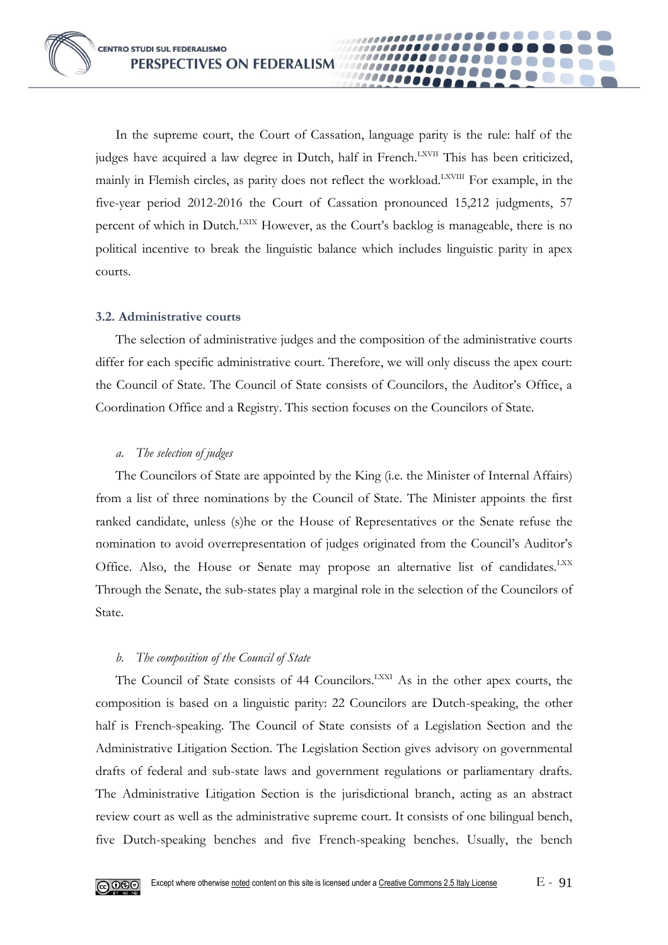In the supreme court, the Court of Cassation, language parity is the rule: half of the judges have acquired a law degree in Dutch, half in French.<sup>LXVII</sup> This has been criticized, mainly in Flemish circles, as parity does not reflect the workload.<sup>LXVIII</sup> For example, in the five-year period 2012-2016 the Court of Cassation pronounced 15,212 judgments, 57 percent of which in Dutch.<sup>LXIX</sup> However, as the Court's backlog is manageable, there is no political incentive to break the linguistic balance which includes linguistic parity in apex courts.

**0000** 

## **3.2. Administrative courts**

The selection of administrative judges and the composition of the administrative courts differ for each specific administrative court. Therefore, we will only discuss the apex court: the Council of State. The Council of State consists of Councilors, the Auditor's Office, a Coordination Office and a Registry. This section focuses on the Councilors of State.

## *a. The selection of judges*

The Councilors of State are appointed by the King (i.e. the Minister of Internal Affairs) from a list of three nominations by the Council of State. The Minister appoints the first ranked candidate, unless (s)he or the House of Representatives or the Senate refuse the nomination to avoid overrepresentation of judges originated from the Council's Auditor's Office. Also, the House or Senate may propose an alternative list of candidates.<sup>LXX</sup> Through the Senate, the sub-states play a marginal role in the selection of the Councilors of State.

## *b. The composition of the Council of State*

The Council of State consists of 44 Councilors.<sup>LXXI</sup> As in the other apex courts, the composition is based on a linguistic parity: 22 Councilors are Dutch-speaking, the other half is French-speaking. The Council of State consists of a Legislation Section and the Administrative Litigation Section. The Legislation Section gives advisory on governmental drafts of federal and sub-state laws and government regulations or parliamentary drafts. The Administrative Litigation Section is the jurisdictional branch, acting as an abstract review court as well as the administrative supreme court. It consists of one bilingual bench, five Dutch-speaking benches and five French-speaking benches. Usually, the bench

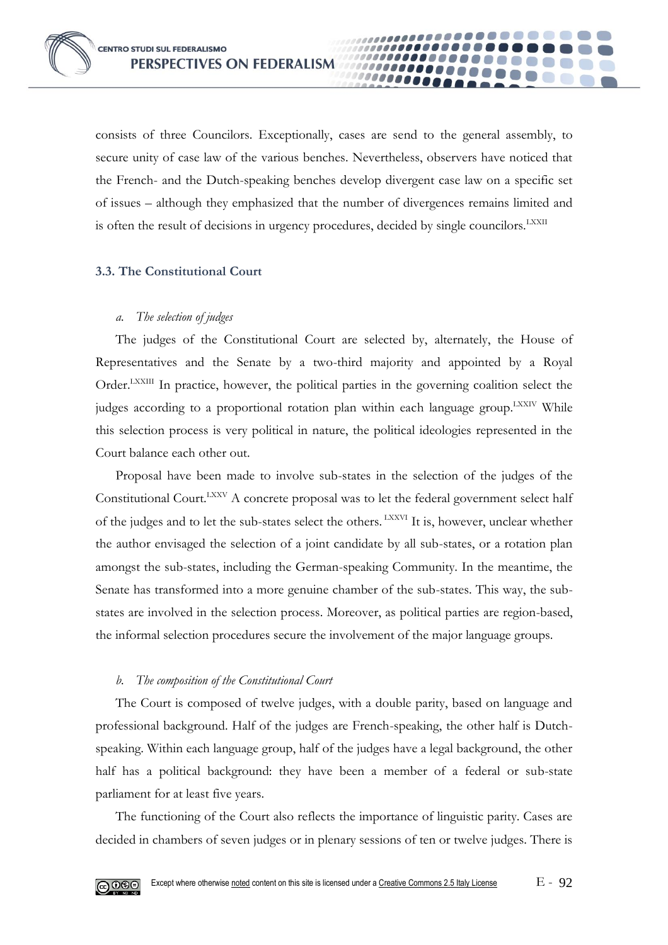consists of three Councilors. Exceptionally, cases are send to the general assembly, to secure unity of case law of the various benches. Nevertheless, observers have noticed that the French- and the Dutch-speaking benches develop divergent case law on a specific set of issues – although they emphasized that the number of divergences remains limited and is often the result of decisions in urgency procedures, decided by single councilors.<sup>LXXII</sup>

10000

#### **3.3. The Constitutional Court**

#### *a. The selection of judges*

The judges of the Constitutional Court are selected by, alternately, the House of Representatives and the Senate by a two-third majority and appointed by a Royal Order.<sup>LXXIII</sup> In practice, however, the political parties in the governing coalition select the judges according to a proportional rotation plan within each language group.<sup>LXXIV</sup> While this selection process is very political in nature, the political ideologies represented in the Court balance each other out.

Proposal have been made to involve sub-states in the selection of the judges of the Constitutional Court.<sup>LXXV</sup> A concrete proposal was to let the federal government select half of the judges and to let the sub-states select the others. LXXVI It is, however, unclear whether the author envisaged the selection of a joint candidate by all sub-states, or a rotation plan amongst the sub-states, including the German-speaking Community. In the meantime, the Senate has transformed into a more genuine chamber of the sub-states. This way, the substates are involved in the selection process. Moreover, as political parties are region-based, the informal selection procedures secure the involvement of the major language groups.

#### *b. The composition of the Constitutional Court*

The Court is composed of twelve judges, with a double parity, based on language and professional background. Half of the judges are French-speaking, the other half is Dutchspeaking. Within each language group, half of the judges have a legal background, the other half has a political background: they have been a member of a federal or sub-state parliament for at least five years.

The functioning of the Court also reflects the importance of linguistic parity. Cases are decided in chambers of seven judges or in plenary sessions of ten or twelve judges. There is

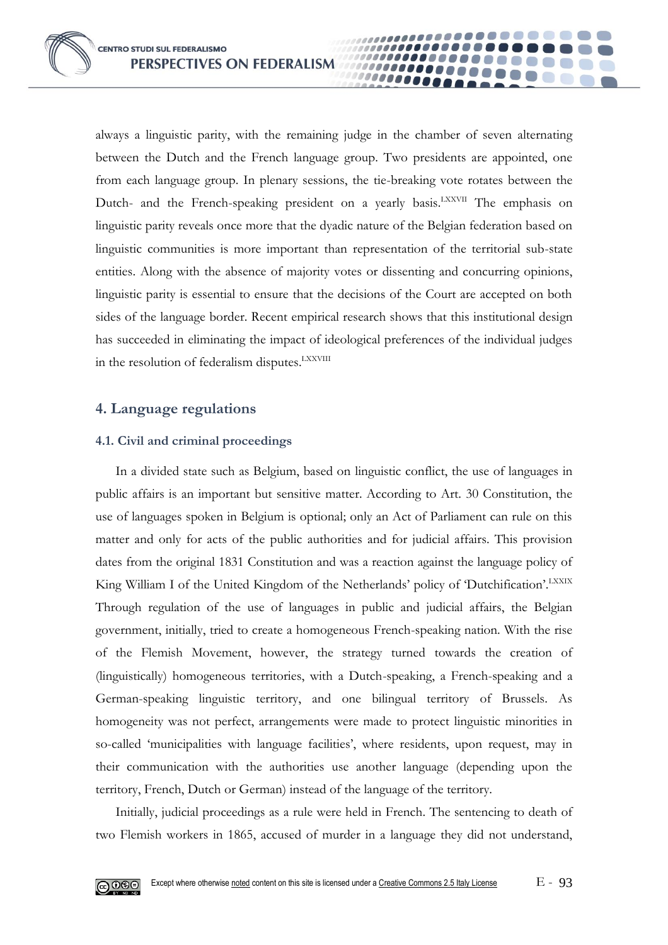always a linguistic parity, with the remaining judge in the chamber of seven alternating between the Dutch and the French language group. Two presidents are appointed, one from each language group. In plenary sessions, the tie-breaking vote rotates between the Dutch- and the French-speaking president on a yearly basis.<sup>LXXVII</sup> The emphasis on linguistic parity reveals once more that the dyadic nature of the Belgian federation based on linguistic communities is more important than representation of the territorial sub-state entities. Along with the absence of majority votes or dissenting and concurring opinions, linguistic parity is essential to ensure that the decisions of the Court are accepted on both sides of the language border. Recent empirical research shows that this institutional design has succeeded in eliminating the impact of ideological preferences of the individual judges in the resolution of federalism disputes.<sup>LXXVIII</sup>

00000

# **4. Language regulations**

## **4.1. Civil and criminal proceedings**

In a divided state such as Belgium, based on linguistic conflict, the use of languages in public affairs is an important but sensitive matter. According to Art. 30 Constitution, the use of languages spoken in Belgium is optional; only an Act of Parliament can rule on this matter and only for acts of the public authorities and for judicial affairs. This provision dates from the original 1831 Constitution and was a reaction against the language policy of King William I of the United Kingdom of the Netherlands' policy of 'Dutchification'.<sup>LXXIX</sup> Through regulation of the use of languages in public and judicial affairs, the Belgian government, initially, tried to create a homogeneous French-speaking nation. With the rise of the Flemish Movement, however, the strategy turned towards the creation of (linguistically) homogeneous territories, with a Dutch-speaking, a French-speaking and a German-speaking linguistic territory, and one bilingual territory of Brussels. As homogeneity was not perfect, arrangements were made to protect linguistic minorities in so-called 'municipalities with language facilities', where residents, upon request, may in their communication with the authorities use another language (depending upon the territory, French, Dutch or German) instead of the language of the territory.

Initially, judicial proceedings as a rule were held in French. The sentencing to death of two Flemish workers in 1865, accused of murder in a language they did not understand,

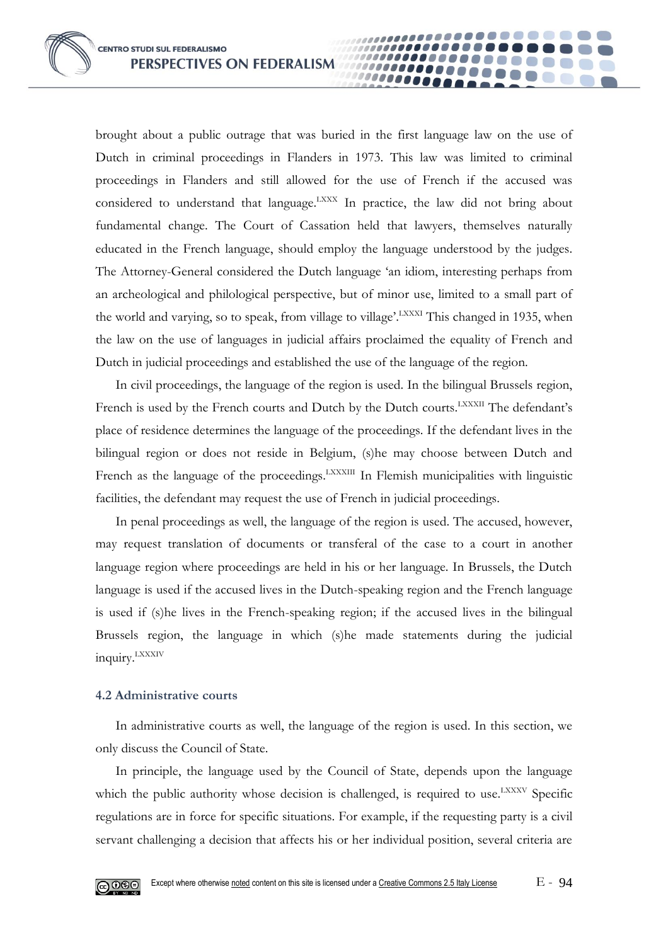brought about a public outrage that was buried in the first language law on the use of Dutch in criminal proceedings in Flanders in 1973. This law was limited to criminal proceedings in Flanders and still allowed for the use of French if the accused was considered to understand that language.<sup>LXXX</sup> In practice, the law did not bring about fundamental change. The Court of Cassation held that lawyers, themselves naturally educated in the French language, should employ the language understood by the judges. The Attorney-General considered the Dutch language 'an idiom, interesting perhaps from an archeological and philological perspective, but of minor use, limited to a small part of the world and varying, so to speak, from village to village'.<sup>LXXXI</sup> This changed in 1935, when the law on the use of languages in judicial affairs proclaimed the equality of French and Dutch in judicial proceedings and established the use of the language of the region.

......... 10000

In civil proceedings, the language of the region is used. In the bilingual Brussels region, French is used by the French courts and Dutch by the Dutch courts.<sup>LXXXII</sup> The defendant's place of residence determines the language of the proceedings. If the defendant lives in the bilingual region or does not reside in Belgium, (s)he may choose between Dutch and French as the language of the proceedings.<sup>LXXXIII</sup> In Flemish municipalities with linguistic facilities, the defendant may request the use of French in judicial proceedings.

In penal proceedings as well, the language of the region is used. The accused, however, may request translation of documents or transferal of the case to a court in another language region where proceedings are held in his or her language. In Brussels, the Dutch language is used if the accused lives in the Dutch-speaking region and the French language is used if (s)he lives in the French-speaking region; if the accused lives in the bilingual Brussels region, the language in which (s)he made statements during the judicial inquiry.LXXXIV

#### **4.2 Administrative courts**

In administrative courts as well, the language of the region is used. In this section, we only discuss the Council of State.

In principle, the language used by the Council of State, depends upon the language which the public authority whose decision is challenged, is required to use.<sup>LXXXV</sup> Specific regulations are in force for specific situations. For example, if the requesting party is a civil servant challenging a decision that affects his or her individual position, several criteria are

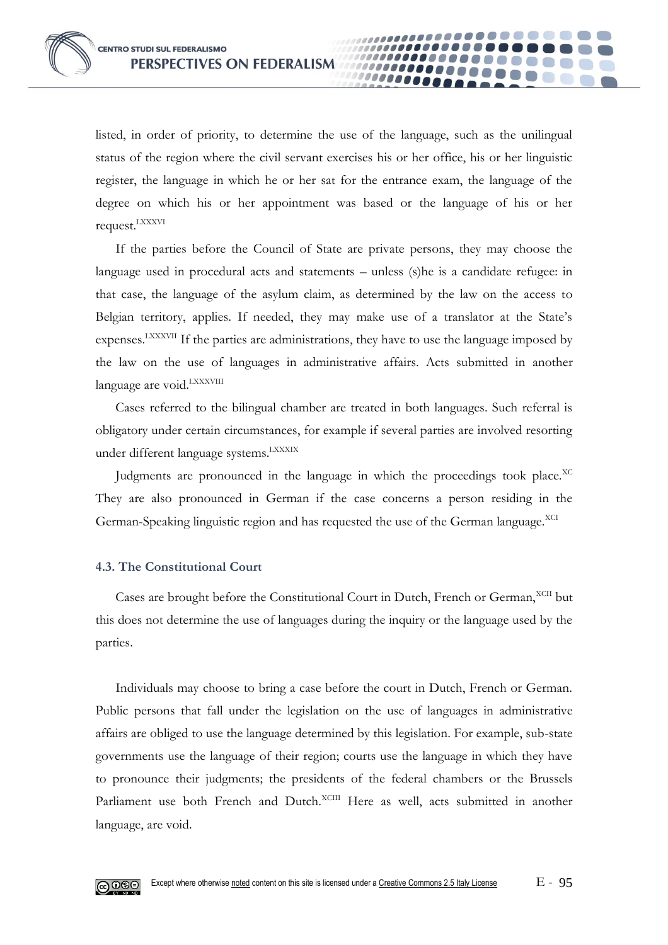listed, in order of priority, to determine the use of the language, such as the unilingual status of the region where the civil servant exercises his or her office, his or her linguistic register, the language in which he or her sat for the entrance exam, the language of the degree on which his or her appointment was based or the language of his or her request.LXXXVI

0000

If the parties before the Council of State are private persons, they may choose the language used in procedural acts and statements – unless (s)he is a candidate refugee: in that case, the language of the asylum claim, as determined by the law on the access to Belgian territory, applies. If needed, they may make use of a translator at the State's expenses.<sup>LXXXVII</sup> If the parties are administrations, they have to use the language imposed by the law on the use of languages in administrative affairs. Acts submitted in another language are void.<sup>LXXXVIII</sup>

Cases referred to the bilingual chamber are treated in both languages. Such referral is obligatory under certain circumstances, for example if several parties are involved resorting under different language systems. LXXXIX

Judgments are pronounced in the language in which the proceedings took place.<sup>XC</sup> They are also pronounced in German if the case concerns a person residing in the German-Speaking linguistic region and has requested the use of the German language.<sup>XCI</sup>

#### **4.3. The Constitutional Court**

Cases are brought before the Constitutional Court in Dutch, French or German, XCII but this does not determine the use of languages during the inquiry or the language used by the parties.

Individuals may choose to bring a case before the court in Dutch, French or German. Public persons that fall under the legislation on the use of languages in administrative affairs are obliged to use the language determined by this legislation. For example, sub-state governments use the language of their region; courts use the language in which they have to pronounce their judgments; the presidents of the federal chambers or the Brussels Parliament use both French and Dutch.<sup>XCIII</sup> Here as well, acts submitted in another language, are void.

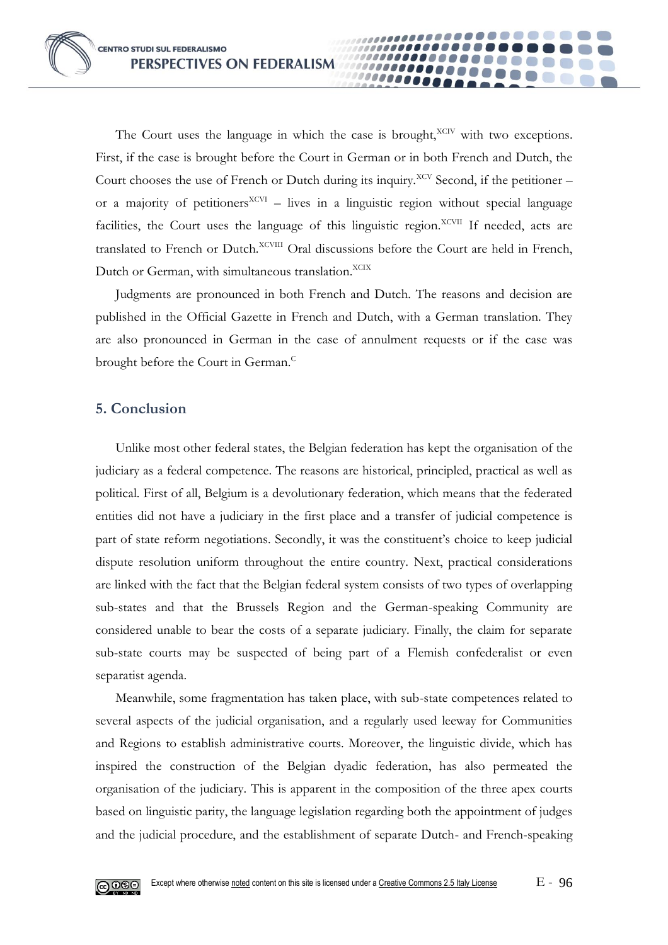The Court uses the language in which the case is brought, $XCIV$  with two exceptions. First, if the case is brought before the Court in German or in both French and Dutch, the Court chooses the use of French or Dutch during its inquiry.<sup>XCV</sup> Second, if the petitioner – or a majority of petitioners<sup>XCVI</sup> – lives in a linguistic region without special language facilities, the Court uses the language of this linguistic region.<sup>XCVII</sup> If needed, acts are translated to French or Dutch.<sup>XCVIII</sup> Oral discussions before the Court are held in French, Dutch or German, with simultaneous translation. XCIX

**0000** 

Judgments are pronounced in both French and Dutch. The reasons and decision are published in the Official Gazette in French and Dutch, with a German translation. They are also pronounced in German in the case of annulment requests or if the case was brought before the Court in German.<sup>C</sup>

# **5. Conclusion**

Unlike most other federal states, the Belgian federation has kept the organisation of the judiciary as a federal competence. The reasons are historical, principled, practical as well as political. First of all, Belgium is a devolutionary federation, which means that the federated entities did not have a judiciary in the first place and a transfer of judicial competence is part of state reform negotiations. Secondly, it was the constituent's choice to keep judicial dispute resolution uniform throughout the entire country. Next, practical considerations are linked with the fact that the Belgian federal system consists of two types of overlapping sub-states and that the Brussels Region and the German-speaking Community are considered unable to bear the costs of a separate judiciary. Finally, the claim for separate sub-state courts may be suspected of being part of a Flemish confederalist or even separatist agenda.

Meanwhile, some fragmentation has taken place, with sub-state competences related to several aspects of the judicial organisation, and a regularly used leeway for Communities and Regions to establish administrative courts. Moreover, the linguistic divide, which has inspired the construction of the Belgian dyadic federation, has also permeated the organisation of the judiciary. This is apparent in the composition of the three apex courts based on linguistic parity, the language legislation regarding both the appointment of judges and the judicial procedure, and the establishment of separate Dutch- and French-speaking

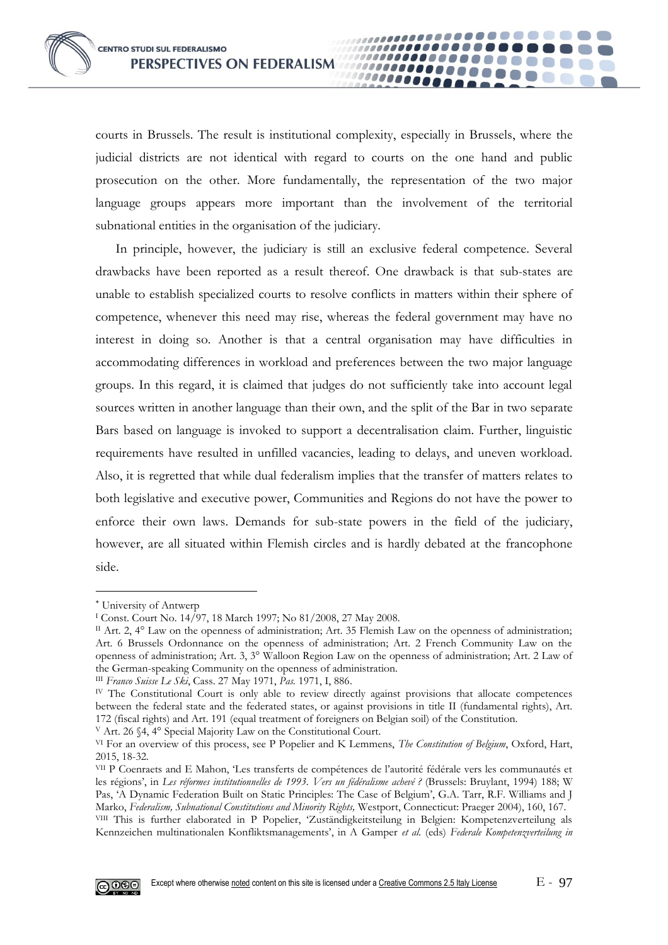courts in Brussels. The result is institutional complexity, especially in Brussels, where the judicial districts are not identical with regard to courts on the one hand and public prosecution on the other. More fundamentally, the representation of the two major language groups appears more important than the involvement of the territorial subnational entities in the organisation of the judiciary.

,,,,,,,,,,,,,,,,,,,,,,

................

,,,,,,,,,,,,,,,,,,,,,,

................

000000000

In principle, however, the judiciary is still an exclusive federal competence. Several drawbacks have been reported as a result thereof. One drawback is that sub-states are unable to establish specialized courts to resolve conflicts in matters within their sphere of competence, whenever this need may rise, whereas the federal government may have no interest in doing so. Another is that a central organisation may have difficulties in accommodating differences in workload and preferences between the two major language groups. In this regard, it is claimed that judges do not sufficiently take into account legal sources written in another language than their own, and the split of the Bar in two separate Bars based on language is invoked to support a decentralisation claim. Further, linguistic requirements have resulted in unfilled vacancies, leading to delays, and uneven workload. Also, it is regretted that while dual federalism implies that the transfer of matters relates to both legislative and executive power, Communities and Regions do not have the power to enforce their own laws. Demands for sub-state powers in the field of the judiciary, however, are all situated within Flemish circles and is hardly debated at the francophone side.

<sup>V</sup> Art. 26 §4, 4° Special Majority Law on the Constitutional Court.

VII P Coenraets and E Mahon, 'Les transferts de compétences de l'autorité fédérale vers les communautés et les régions', in *Les réformes institutionnelles de 1993. Vers un fédéralisme achevé ?* (Brussels: Bruylant, 1994) 188; W Pas, 'A Dynamic Federation Built on Static Principles: The Case of Belgium', G.A. Tarr, R.F. Williams and J Marko, *Federalism, Subnational Constitutions and Minority Rights,* Westport, Connecticut: Praeger 2004), 160, 167. VIII This is further elaborated in P Popelier, 'Zuständigkeitsteilung in Belgien: Kompetenzverteilung als Kennzeichen multinationalen Konfliktsmanagements', in A Gamper *et al.* (eds) *Federale Kompetenzverteilung in* 



University of Antwerp

<sup>I</sup> Const. Court No. 14/97, 18 March 1997; No 81/2008, 27 May 2008.

II Art. 2,  $4^{\circ}$  Law on the openness of administration; Art. 35 Flemish Law on the openness of administration; Art. 6 Brussels Ordonnance on the openness of administration; Art. 2 French Community Law on the openness of administration; Art. 3, 3° Walloon Region Law on the openness of administration; Art. 2 Law of the German-speaking Community on the openness of administration.

III *Franco Suisse Le Ski*, Cass. 27 May 1971, *Pas.* 1971, I, 886.

IV The Constitutional Court is only able to review directly against provisions that allocate competences between the federal state and the federated states, or against provisions in title II (fundamental rights), Art. 172 (fiscal rights) and Art. 191 (equal treatment of foreigners on Belgian soil) of the Constitution.

VI For an overview of this process, see P Popelier and K Lemmens, *The Constitution of Belgium*, Oxford, Hart, 2015, 18-32.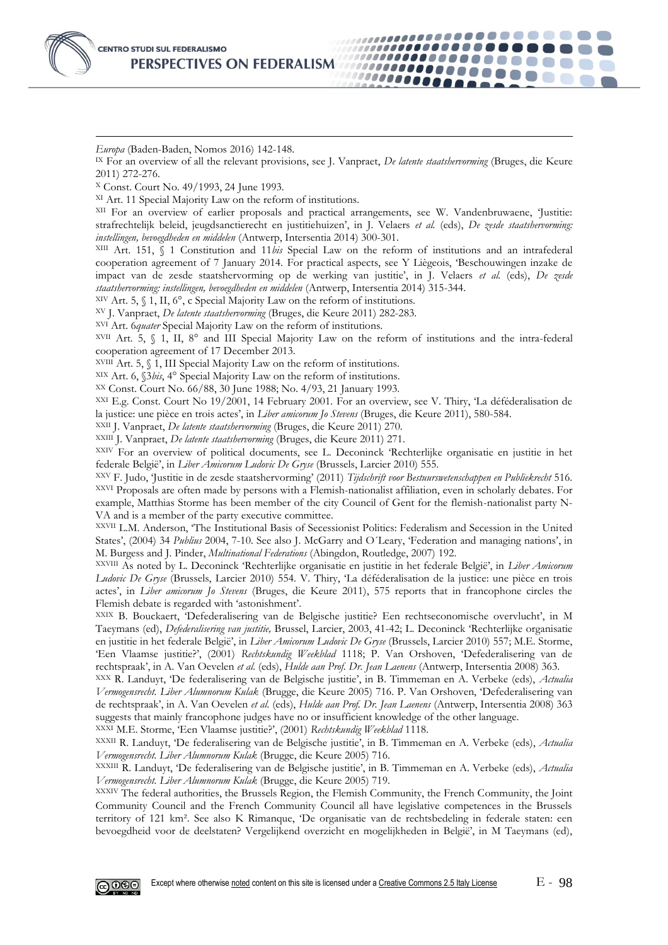

*Europa* (Baden-Baden, Nomos 2016) 142-148.

IX For an overview of all the relevant provisions, see J. Vanpraet, *De latente staatshervorming* (Bruges, die Keure 2011) 272-276.

,,,,,,,,,,,,,,,,,,,,,,

,,,,,,,,,,,,,,,,,

,,,,,,,,,,,,,,, ,,,,,,,,,,,,,,,

000000000

<sup>X</sup> Const. Court No. 49/1993, 24 June 1993.

XI Art. 11 Special Majority Law on the reform of institutions.

XII For an overview of earlier proposals and practical arrangements, see W. Vandenbruwaene, 'Justitie: strafrechtelijk beleid, jeugdsanctierecht en justitiehuizen', in J. Velaers *et al.* (eds), *De zesde staatshervorming: instellingen, bevoegdheden en middelen* (Antwerp, Intersentia 2014) 300-301.

XIII Art. 151, § 1 Constitution and 11*bis* Special Law on the reform of institutions and an intrafederal cooperation agreement of 7 January 2014. For practical aspects, see Y Liègeois, 'Beschouwingen inzake de impact van de zesde staatshervorming op de werking van justitie', in J. Velaers *et al.* (eds), *De zesde staatshervorming: instellingen, bevoegdheden en middelen* (Antwerp, Intersentia 2014) 315-344.

XIV Art. 5, § 1, II, 6°, c Special Majority Law on the reform of institutions.

XV J. Vanpraet, *De latente staatshervorming* (Bruges, die Keure 2011) 282-283.

XVI Art. 6*quater* Special Majority Law on the reform of institutions.

XVII Art. 5, § 1, II, 8° and III Special Majority Law on the reform of institutions and the intra-federal cooperation agreement of 17 December 2013.

 $XVIII$  Art. 5,  $\S$  1, III Special Majority Law on the reform of institutions.

XIX Art. 6, §3*bis*, 4° Special Majority Law on the reform of institutions.

XX Const. Court No. 66/88, 30 June 1988; No. 4/93, 21 January 1993.

XXI E.g. Const. Court No 19/2001, 14 February 2001. For an overview, see V. Thiry, 'La déféderalisation de la justice: une pièce en trois actes', in *Liber amicorum Jo Stevens* (Bruges, die Keure 2011), 580-584.

XXII J. Vanpraet, *De latente staatshervorming* (Bruges, die Keure 2011) 270.

XXIII J. Vanpraet, *De latente staatshervorming* (Bruges, die Keure 2011) 271.

XXIV For an overview of political documents, see L. Deconinck 'Rechterlijke organisatie en justitie in het federale België', in *Liber Amicorum Ludovic De Gryse* (Brussels, Larcier 2010) 555.

XXV F. Judo, 'Justitie in de zesde staatshervorming' (2011) *Tijdschrift voor Bestuurswetenschappen en Publiekrecht* 516. XXVI Proposals are often made by persons with a Flemish-nationalist affiliation, even in scholarly debates. For example, Matthias Storme has been member of the city Council of Gent for the flemish-nationalist party N-VA and is a member of the party executive committee.

XXVII L.M. Anderson, 'The Institutional Basis of Secessionist Politics: Federalism and Secession in the United States', (2004) 34 *Publius* 2004, 7-10. See also J. McGarry and O´Leary, 'Federation and managing nations', in M. Burgess and J. Pinder, *Multinational Federations* (Abingdon, Routledge, 2007) 192.

XXVIII As noted by L. Deconinck 'Rechterlijke organisatie en justitie in het federale België', in *Liber Amicorum Ludovic De Gryse* (Brussels, Larcier 2010) 554. V. Thiry, 'La déféderalisation de la justice: une pièce en trois actes', in *Liber amicorum Jo Stevens* (Bruges, die Keure 2011), 575 reports that in francophone circles the Flemish debate is regarded with 'astonishment'.

XXIX B. Bouckaert, 'Defederalisering van de Belgische justitie? Een rechtseconomische overvlucht', in M Taeymans (ed), *Defederalisering van justitie,* Brussel, Larcier, 2003, 41-42; L. Deconinck 'Rechterlijke organisatie en justitie in het federale België', in *Liber Amicorum Ludovic De Gryse* (Brussels, Larcier 2010) 557; M.E. Storme, 'Een Vlaamse justitie?', (2001) *Rechtskundig Weekblad* 1118; P. Van Orshoven, 'Defederalisering van de rechtspraak', in A. Van Oevelen *et al.* (eds), *Hulde aan Prof. Dr. Jean Laenens* (Antwerp, Intersentia 2008) 363.

XXX R. Landuyt, 'De federalisering van de Belgische justitie', in B. Timmeman en A. Verbeke (eds), *Actualia Vermogensrecht. Liber Alumnorum Kulak* (Brugge, die Keure 2005) 716. P. Van Orshoven, 'Defederalisering van de rechtspraak', in A. Van Oevelen *et al.* (eds), *Hulde aan Prof. Dr. Jean Laenens* (Antwerp, Intersentia 2008) 363 suggests that mainly francophone judges have no or insufficient knowledge of the other language.

XXXI M.E. Storme, 'Een Vlaamse justitie?', (2001) *Rechtskundig Weekblad* 1118.

XXXII R. Landuyt, 'De federalisering van de Belgische justitie', in B. Timmeman en A. Verbeke (eds), *Actualia Vermogensrecht. Liber Alumnorum Kulak* (Brugge, die Keure 2005) 716.

XXXIII R. Landuyt, 'De federalisering van de Belgische justitie', in B. Timmeman en A. Verbeke (eds), *Actualia Vermogensrecht. Liber Alumnorum Kulak* (Brugge, die Keure 2005) 719.

XXXIV The federal authorities, the Brussels Region, the Flemish Community, the French Community, the Joint Community Council and the French Community Council all have legislative competences in the Brussels territory of 121 km². See also K Rimanque, 'De organisatie van de rechtsbedeling in federale staten: een bevoegdheid voor de deelstaten? Vergelijkend overzicht en mogelijkheden in België', in M Taeymans (ed),

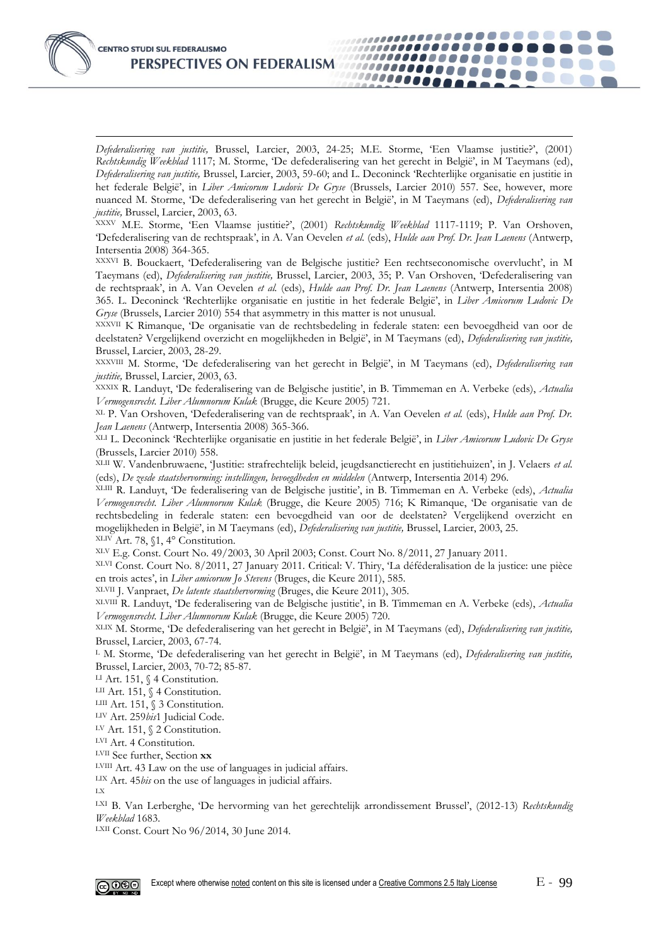

*Defederalisering van justitie,* Brussel, Larcier, 2003, 24-25; M.E. Storme, 'Een Vlaamse justitie?', (2001) *Rechtskundig Weekblad* 1117; M. Storme, 'De defederalisering van het gerecht in België', in M Taeymans (ed), *Defederalisering van justitie,* Brussel, Larcier, 2003, 59-60; and L. Deconinck 'Rechterlijke organisatie en justitie in het federale België', in *Liber Amicorum Ludovic De Gryse* (Brussels, Larcier 2010) 557. See, however, more nuanced M. Storme, 'De defederalisering van het gerecht in België', in M Taeymans (ed), *Defederalisering van justitie,* Brussel, Larcier, 2003, 63.

,,,,,,,,,,,,,,,,,,,,,,,

................

,,,,,,,,,,,,,,,,

000000000

,,,,,,,,,,,,,,,,,,

XXXV M.E. Storme, 'Een Vlaamse justitie?', (2001) *Rechtskundig Weekblad* 1117-1119; P. Van Orshoven, 'Defederalisering van de rechtspraak', in A. Van Oevelen *et al.* (eds), *Hulde aan Prof. Dr. Jean Laenens* (Antwerp, Intersentia 2008) 364-365.

XXXVI B. Bouckaert, 'Defederalisering van de Belgische justitie? Een rechtseconomische overvlucht', in M Taeymans (ed), *Defederalisering van justitie,* Brussel, Larcier, 2003, 35; P. Van Orshoven, 'Defederalisering van de rechtspraak', in A. Van Oevelen *et al.* (eds), *Hulde aan Prof. Dr. Jean Laenens* (Antwerp, Intersentia 2008) 365. L. Deconinck 'Rechterlijke organisatie en justitie in het federale België', in *Liber Amicorum Ludovic De Gryse* (Brussels, Larcier 2010) 554 that asymmetry in this matter is not unusual.

XXXVII K Rimanque, 'De organisatie van de rechtsbedeling in federale staten: een bevoegdheid van oor de deelstaten? Vergelijkend overzicht en mogelijkheden in België', in M Taeymans (ed), *Defederalisering van justitie,*  Brussel, Larcier, 2003, 28-29.

XXXVIII M. Storme, 'De defederalisering van het gerecht in België', in M Taeymans (ed), *Defederalisering van justitie,* Brussel, Larcier, 2003, 63.

XXXIX R. Landuyt, 'De federalisering van de Belgische justitie', in B. Timmeman en A. Verbeke (eds), *Actualia Vermogensrecht. Liber Alumnorum Kulak* (Brugge, die Keure 2005) 721.

XL P. Van Orshoven, 'Defederalisering van de rechtspraak', in A. Van Oevelen *et al.* (eds), *Hulde aan Prof. Dr. Jean Laenens* (Antwerp, Intersentia 2008) 365-366.

XLI L. Deconinck 'Rechterlijke organisatie en justitie in het federale België', in *Liber Amicorum Ludovic De Gryse*  (Brussels, Larcier 2010) 558.

XLII W. Vandenbruwaene, 'Justitie: strafrechtelijk beleid, jeugdsanctierecht en justitiehuizen', in J. Velaers *et al.*  (eds), *De zesde staatshervorming: instellingen, bevoegdheden en middelen* (Antwerp, Intersentia 2014) 296.

XLIII R. Landuyt, 'De federalisering van de Belgische justitie', in B. Timmeman en A. Verbeke (eds), *Actualia Vermogensrecht. Liber Alumnorum Kulak* (Brugge, die Keure 2005) 716; K Rimanque, 'De organisatie van de rechtsbedeling in federale staten: een bevoegdheid van oor de deelstaten? Vergelijkend overzicht en mogelijkheden in België', in M Taeymans (ed), *Defederalisering van justitie,* Brussel, Larcier, 2003, 25. XLIV Art. 78, §1, 4° Constitution.

XLV E.g. Const. Court No. 49/2003, 30 April 2003; Const. Court No. 8/2011, 27 January 2011.

XLVI Const. Court No. 8/2011, 27 January 2011. Critical: V. Thiry, 'La déféderalisation de la justice: une pièce en trois actes', in *Liber amicorum Jo Stevens* (Bruges, die Keure 2011), 585.

XLVII J. Vanpraet, *De latente staatshervorming* (Bruges, die Keure 2011), 305.

XLVIII R. Landuyt, 'De federalisering van de Belgische justitie', in B. Timmeman en A. Verbeke (eds), *Actualia Vermogensrecht. Liber Alumnorum Kulak* (Brugge, die Keure 2005) 720.

XLIX M. Storme, 'De defederalisering van het gerecht in België', in M Taeymans (ed), *Defederalisering van justitie,*  Brussel, Larcier, 2003, 67-74.

<sup>L</sup> M. Storme, 'De defederalisering van het gerecht in België', in M Taeymans (ed), *Defederalisering van justitie,*  Brussel, Larcier, 2003, 70-72; 85-87.

LI Art. 151, § 4 Constitution.

LII Art. 151, § 4 Constitution.

LIII Art. 151, § 3 Constitution.

LIV Art. 259*bis*1 Judicial Code.

LV Art. 151, § 2 Constitution.

LVI Art. 4 Constitution.

LVII See further, Section **xx**

LVIII Art. 43 Law on the use of languages in judicial affairs.

LIX Art. 45*bis* on the use of languages in judicial affairs.

LX

LXI B. Van Lerberghe, 'De hervorming van het gerechtelijk arrondissement Brussel', (2012-13) *Rechtskundig Weekblad* 1683.

LXII Const. Court No 96/2014, 30 June 2014.

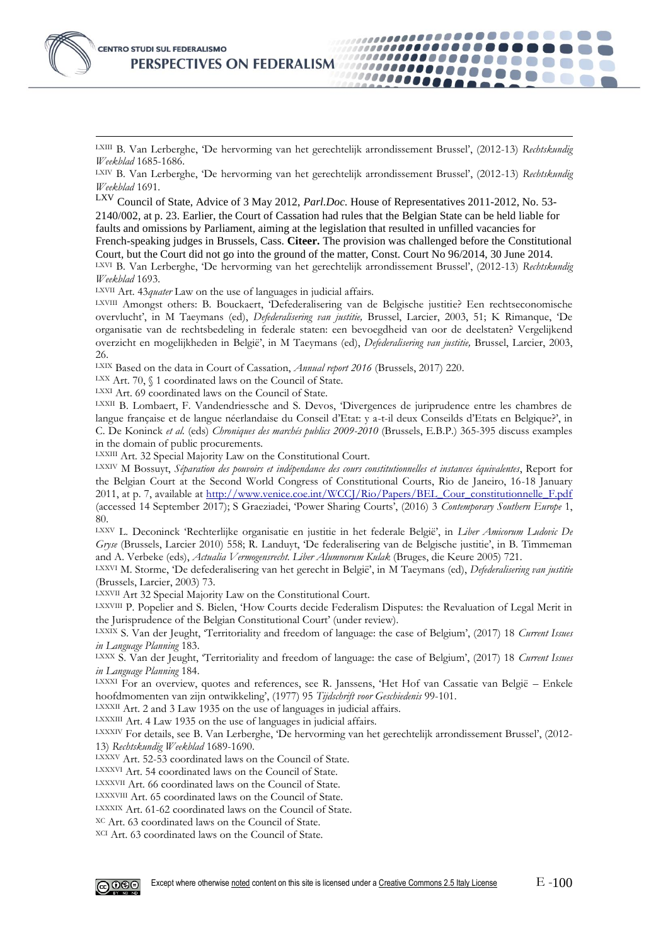

LXIII B. Van Lerberghe, 'De hervorming van het gerechtelijk arrondissement Brussel', (2012-13) *Rechtskundig Weekblad* 1685-1686.

. . . . . . . .

000000000

....................

11000000000000

,,,,,,,,,,,,,,,,,,

LXIV B. Van Lerberghe, 'De hervorming van het gerechtelijk arrondissement Brussel', (2012-13) *Rechtskundig Weekblad* 1691.

Council of State, Advice of 3 May 2012, *Parl.Doc.* House of Representatives 2011-2012, No. 53-2140/002, at p. 23. Earlier, the Court of Cassation had rules that the Belgian State can be held liable for faults and omissions by Parliament, aiming at the legislation that resulted in unfilled vacancies for French-speaking judges in Brussels, Cass. **Citeer.** The provision was challenged before the Constitutional Court, but the Court did not go into the ground of the matter, Const. Court No 96/2014, 30 June 2014. LXVI B. Van Lerberghe, 'De hervorming van het gerechtelijk arrondissement Brussel', (2012-13) *Rechtskundig Weekblad* 1693.

LXVII Art. 43*quater* Law on the use of languages in judicial affairs.

LXVIII Amongst others: B. Bouckaert, 'Defederalisering van de Belgische justitie? Een rechtseconomische overvlucht', in M Taeymans (ed), *Defederalisering van justitie,* Brussel, Larcier, 2003, 51; K Rimanque, 'De organisatie van de rechtsbedeling in federale staten: een bevoegdheid van oor de deelstaten? Vergelijkend overzicht en mogelijkheden in België', in M Taeymans (ed), *Defederalisering van justitie,* Brussel, Larcier, 2003, 26.

LXIX Based on the data in Court of Cassation, *Annual report 2016* (Brussels, 2017) 220.

LXX Art. 70,  $\int$  1 coordinated laws on the Council of State.

LXXI Art. 69 coordinated laws on the Council of State.

LXXII B. Lombaert, F. Vandendriessche and S. Devos, 'Divergences de juriprudence entre les chambres de langue française et de langue néerlandaise du Conseil d'Etat: y a-t-il deux Conseilds d'Etats en Belgique?', in C. De Koninck *et al.* (eds) *Chroniques des marchés publics 2009-2010* (Brussels, E.B.P.) 365-395 discuss examples in the domain of public procurements.

LXXIII Art. 32 Special Majority Law on the Constitutional Court.

LXXIV M Bossuyt, *Séparation des pouvoirs et indépendance des cours constitutionnelles et instances équivalentes*, Report for the Belgian Court at the Second World Congress of Constitutional Courts, Rio de Janeiro, 16-18 January 2011, at p. 7, available at [http://www.venice.coe.int/WCCJ/Rio/Papers/BEL\\_Cour\\_constitutionnelle\\_F.pdf](http://www.venice.coe.int/WCCJ/Rio/Papers/BEL_Cour_constitutionnelle_F.pdf) (accessed 14 September 2017); S Graeziadei, 'Power Sharing Courts', (2016) 3 *Contemporary Southern Europe* 1, 80.

LXXV L. Deconinck 'Rechterlijke organisatie en justitie in het federale België', in *Liber Amicorum Ludovic De Gryse* (Brussels, Larcier 2010) 558; R. Landuyt, 'De federalisering van de Belgische justitie', in B. Timmeman and A. Verbeke (eds), *Actualia Vermogensrecht. Liber Alumnorum Kulak* (Bruges, die Keure 2005) 721.

LXXVI M. Storme, 'De defederalisering van het gerecht in België', in M Taeymans (ed), *Defederalisering van justitie*  (Brussels, Larcier, 2003) 73.

LXXVII Art 32 Special Majority Law on the Constitutional Court.

LXXVIII P. Popelier and S. Bielen, 'How Courts decide Federalism Disputes: the Revaluation of Legal Merit in the Jurisprudence of the Belgian Constitutional Court' (under review).

LXXIX S. Van der Jeught, 'Territoriality and freedom of language: the case of Belgium', (2017) 18 *Current Issues in Language Planning* 183.

LXXX S. Van der Jeught, 'Territoriality and freedom of language: the case of Belgium', (2017) 18 *Current Issues in Language Planning* 184.

LXXXI For an overview, quotes and references, see R. Janssens, 'Het Hof van Cassatie van België – Enkele hoofdmomenten van zijn ontwikkeling', (1977) 95 *Tijdschrift voor Geschiedenis* 99-101.

LXXXII Art. 2 and 3 Law 1935 on the use of languages in judicial affairs.

LXXXIII Art. 4 Law 1935 on the use of languages in judicial affairs.

LXXXIV For details, see B. Van Lerberghe, 'De hervorming van het gerechtelijk arrondissement Brussel', (2012- 13) *Rechtskundig Weekblad* 1689-1690.

LXXXV Art. 52-53 coordinated laws on the Council of State.

LXXXVI Art. 54 coordinated laws on the Council of State.

LXXXVII Art. 66 coordinated laws on the Council of State.

LXXXVIII Art. 65 coordinated laws on the Council of State.

LXXXIX Art. 61-62 coordinated laws on the Council of State.

XC Art. 63 coordinated laws on the Council of State.

XCI Art. 63 coordinated laws on the Council of State.